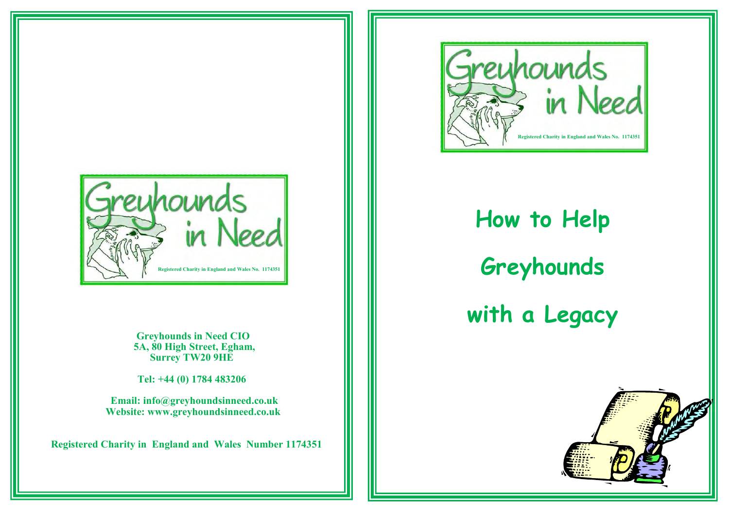

 **Greyhounds in Need CIO 5A, 80 High Street, Egham, Surrey TW20 9HE**

 **Tel: +44 (0) 1784 483206** 

 **Email: info@greyhoundsinneed.co.uk Website: www.greyhoundsinneed.co.uk**

 **Registered Charity in England and Wales Number 1174351**



**How to Help Greyhounds with a Legacy**